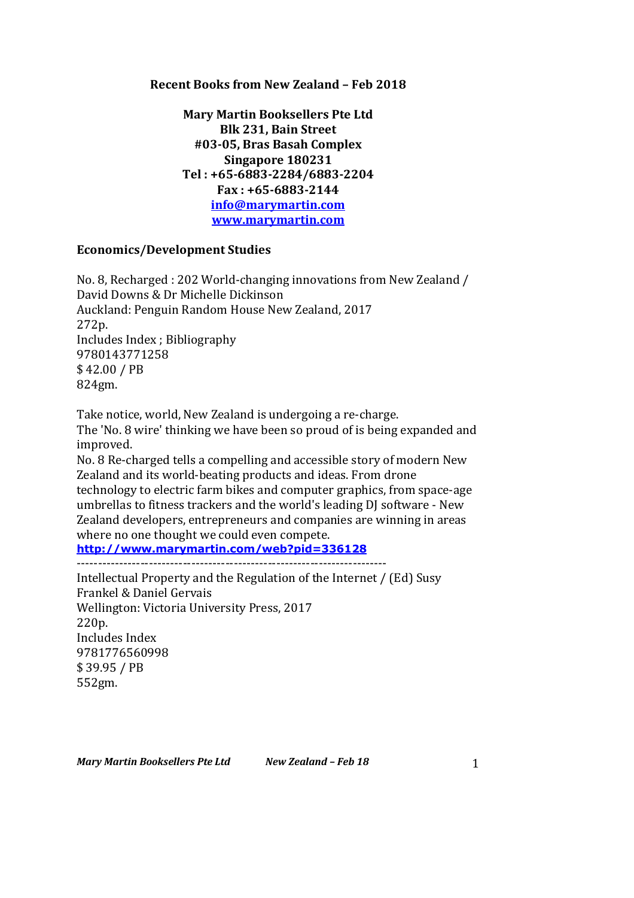### **Recent Books from New Zealand – Feb 2018**

**Mary Martin Booksellers Pte Ltd Blk 231, Bain Street #03-05, Bras Basah Complex Singapore 180231 Tel : +65-6883-2284/6883-2204 Fax : +65-6883-2144 info@marymartin.com www.marymartin.com**

# **Economics/Development Studies**

No. 8, Recharged : 202 World-changing innovations from New Zealand / David Downs & Dr Michelle Dickinson Auckland: Penguin Random House New Zealand, 2017 272p. Includes Index ; Bibliography 9780143771258 \$ 42.00 / PB 824gm.

Take notice, world, New Zealand is undergoing a re-charge. The 'No. 8 wire' thinking we have been so proud of is being expanded and improved.

No. 8 Re-charged tells a compelling and accessible story of modern New Zealand and its world-beating products and ideas. From drone technology to electric farm bikes and computer graphics, from space-age umbrellas to fitness trackers and the world's leading DJ software - New Zealand developers, entrepreneurs and companies are winning in areas where no one thought we could even compete.

**http://www.marymartin.com/web?pid=336128**

-------------------------------------------------------------------------

Intellectual Property and the Regulation of the Internet / (Ed) Susy Frankel & Daniel Gervais Wellington: Victoria University Press, 2017 220p. Includes Index 9781776560998 \$ 39.95 / PB 552gm.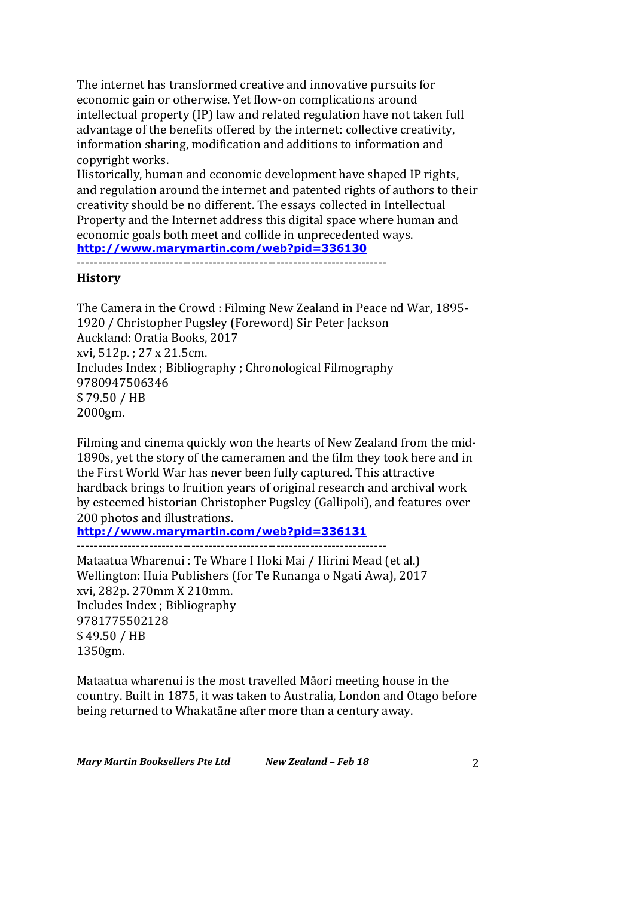The internet has transformed creative and innovative pursuits for economic gain or otherwise. Yet flow-on complications around intellectual property (IP) law and related regulation have not taken full advantage of the benefits offered by the internet: collective creativity, information sharing, modification and additions to information and copyright works.

Historically, human and economic development have shaped IP rights, and regulation around the internet and patented rights of authors to their creativity should be no different. The essays collected in Intellectual Property and the Internet address this digital space where human and economic goals both meet and collide in unprecedented ways. **http://www.marymartin.com/web?pid=336130**

-------------------------------------------------------------------------

### **History**

The Camera in the Crowd : Filming New Zealand in Peace nd War, 1895-1920 / Christopher Pugsley (Foreword) Sir Peter Jackson Auckland: Oratia Books, 2017 xvi, 512p.; 27 x 21.5cm. Includes Index ; Bibliography ; Chronological Filmography 9780947506346 \$ 79.50 / HB 2000gm.

Filming and cinema quickly won the hearts of New Zealand from the mid-1890s, yet the story of the cameramen and the film they took here and in the First World War has never been fully captured. This attractive hardback brings to fruition years of original research and archival work by esteemed historian Christopher Pugsley (Gallipoli), and features over 200 photos and illustrations.

**http://www.marymartin.com/web?pid=336131**

-------------------------------------------------------------------------

Mataatua Wharenui : Te Whare I Hoki Mai / Hirini Mead (et al.) Wellington: Huia Publishers (for Te Runanga o Ngati Awa), 2017 xvi, 282p. 270mm X 210mm. Includes Index ; Bibliography 9781775502128 \$ 49.50 / HB 1350gm.

Mataatua wharenui is the most travelled Māori meeting house in the country. Built in 1875, it was taken to Australia, London and Otago before being returned to Whakatāne after more than a century away.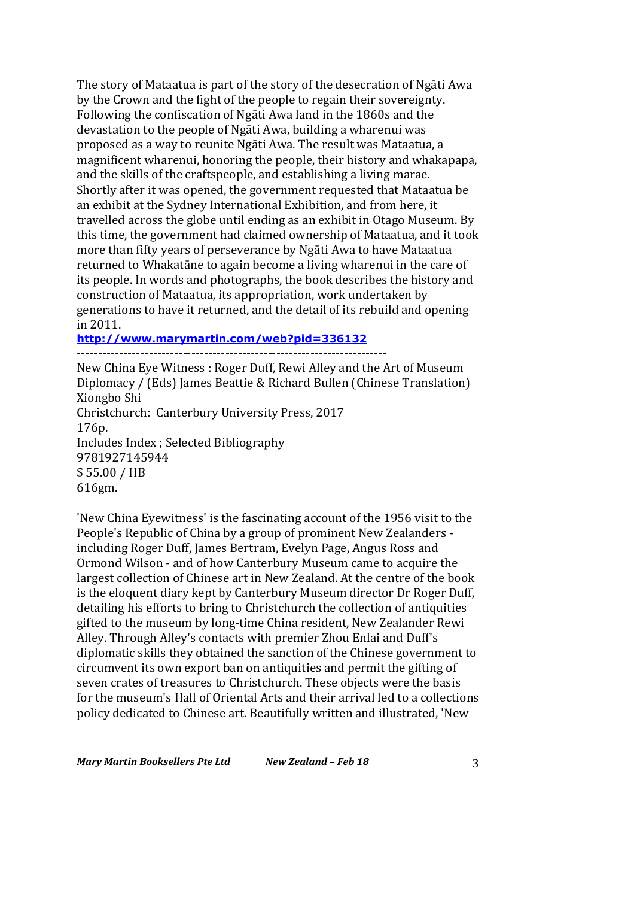The story of Mataatua is part of the story of the desecration of Ngāti Awa by the Crown and the fight of the people to regain their sovereignty. Following the confiscation of Ngāti Awa land in the 1860s and the devastation to the people of Ngāti Awa, building a wharenui was proposed as a way to reunite Ngāti Awa. The result was Mataatua, a magnificent wharenui, honoring the people, their history and whakapapa, and the skills of the craftspeople, and establishing a living marae. Shortly after it was opened, the government requested that Mataatua be an exhibit at the Sydney International Exhibition, and from here, it travelled across the globe until ending as an exhibit in Otago Museum. By this time, the government had claimed ownership of Mataatua, and it took more than fifty years of perseverance by Ngāti Awa to have Mataatua returned to Whakatāne to again become a living wharenui in the care of its people. In words and photographs, the book describes the history and construction of Mataatua, its appropriation, work undertaken by generations to have it returned, and the detail of its rebuild and opening in 2011.

# **http://www.marymartin.com/web?pid=336132**

------------------------------------------------------------------------- New China Eye Witness: Roger Duff, Rewi Alley and the Art of Museum Diplomacy / (Eds) James Beattie & Richard Bullen (Chinese Translation) Xiongbo Shi Christchurch: Canterbury University Press, 2017 176p. Includes Index ; Selected Bibliography 9781927145944 \$ 55.00 / HB 616gm.

'New China Eyewitness' is the fascinating account of the 1956 visit to the People's Republic of China by a group of prominent New Zealanders including Roger Duff, James Bertram, Evelyn Page, Angus Ross and Ormond Wilson - and of how Canterbury Museum came to acquire the largest collection of Chinese art in New Zealand. At the centre of the book is the eloquent diary kept by Canterbury Museum director Dr Roger Duff, detailing his efforts to bring to Christchurch the collection of antiquities gifted to the museum by long-time China resident, New Zealander Rewi Alley. Through Alley's contacts with premier Zhou Enlai and Duff's diplomatic skills they obtained the sanction of the Chinese government to circumvent its own export ban on antiquities and permit the gifting of seven crates of treasures to Christchurch. These objects were the basis for the museum's Hall of Oriental Arts and their arrival led to a collections policy dedicated to Chinese art. Beautifully written and illustrated, 'New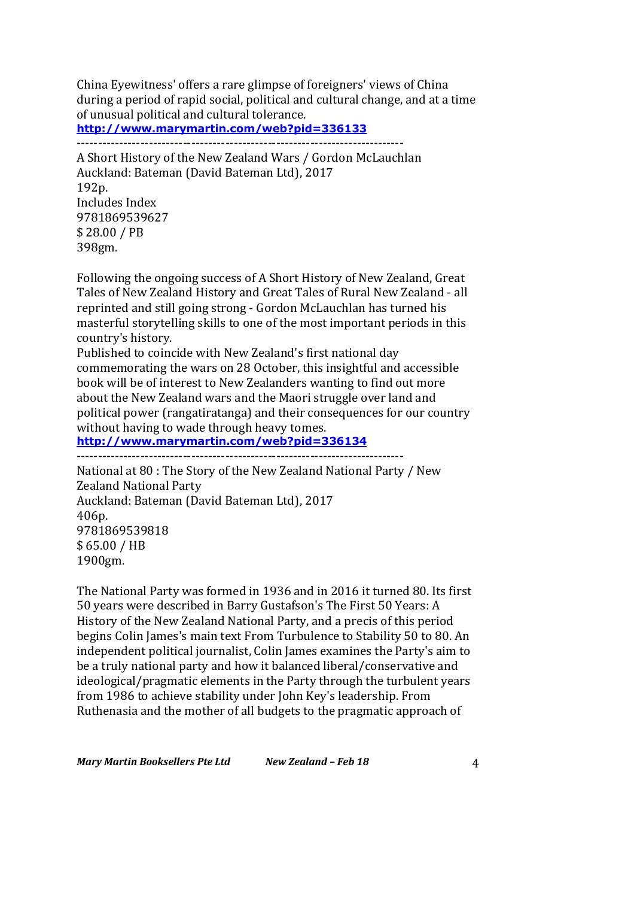China Eyewitness' offers a rare glimpse of foreigners' views of China during a period of rapid social, political and cultural change, and at a time of unusual political and cultural tolerance. **http://www.marymartin.com/web?pid=336133**

-----------------------------------------------------------------------------

A Short History of the New Zealand Wars / Gordon McLauchlan Auckland: Bateman (David Bateman Ltd), 2017 192p. Includes Index 9781869539627 \$ 28.00 / PB 398gm.

Following the ongoing success of A Short History of New Zealand, Great Tales of New Zealand History and Great Tales of Rural New Zealand - all reprinted and still going strong - Gordon McLauchlan has turned his masterful storytelling skills to one of the most important periods in this country's history.

Published to coincide with New Zealand's first national day commemorating the wars on 28 October, this insightful and accessible book will be of interest to New Zealanders wanting to find out more about the New Zealand wars and the Maori struggle over land and political power (rangatiratanga) and their consequences for our country without having to wade through heavy tomes.

**http://www.marymartin.com/web?pid=336134**

-----------------------------------------------------------------------------

National at 80 : The Story of the New Zealand National Party / New **Zealand National Party** Auckland: Bateman (David Bateman Ltd), 2017 406p. 9781869539818 \$ 65.00 / HB 1900gm.

The National Party was formed in 1936 and in 2016 it turned 80. Its first 50 years were described in Barry Gustafson's The First 50 Years: A History of the New Zealand National Party, and a precis of this period begins Colin James's main text From Turbulence to Stability 50 to 80. An independent political journalist, Colin James examines the Party's aim to be a truly national party and how it balanced liberal/conservative and ideological/pragmatic elements in the Party through the turbulent years from 1986 to achieve stability under John Key's leadership. From Ruthenasia and the mother of all budgets to the pragmatic approach of

*Mary Martin Booksellers Pte Ltd New Zealand – Feb 18* 4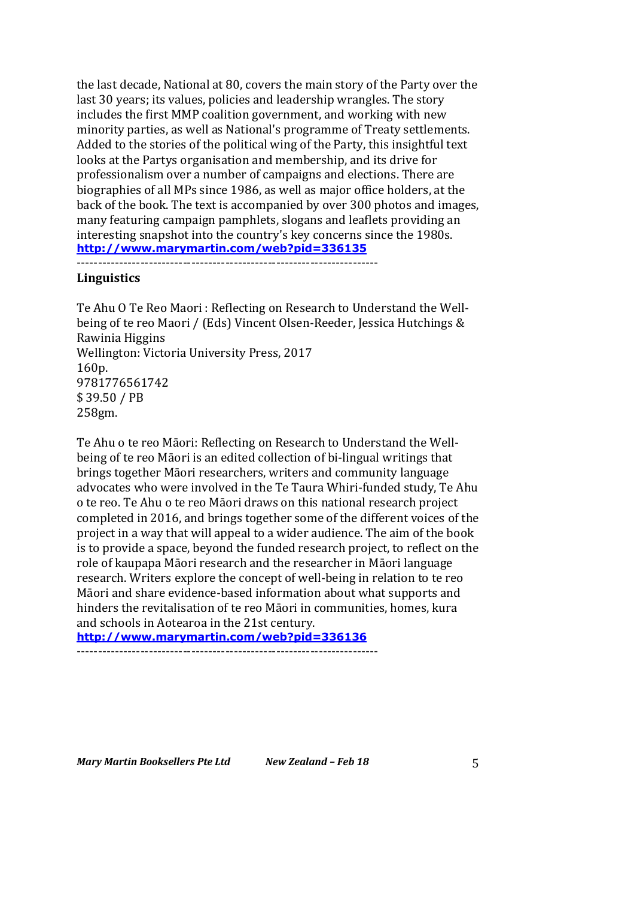the last decade, National at 80, covers the main story of the Party over the last 30 years; its values, policies and leadership wrangles. The story includes the first MMP coalition government, and working with new minority parties, as well as National's programme of Treaty settlements. Added to the stories of the political wing of the Party, this insightful text looks at the Partys organisation and membership, and its drive for professionalism over a number of campaigns and elections. There are biographies of all MPs since 1986, as well as major office holders, at the back of the book. The text is accompanied by over 300 photos and images, many featuring campaign pamphlets, slogans and leaflets providing an interesting snapshot into the country's key concerns since the 1980s. **http://www.marymartin.com/web?pid=336135**

-----------------------------------------------------------------------

### **Linguistics**

Te Ahu O Te Reo Maori: Reflecting on Research to Understand the Wellbeing of te reo Maori / (Eds) Vincent Olsen-Reeder, Jessica Hutchings & Rawinia Higgins Wellington: Victoria University Press, 2017 160p. 9781776561742 \$ 39.50 / PB 258gm.

Te Ahu o te reo Māori: Reflecting on Research to Understand the Wellbeing of te reo Māori is an edited collection of bi-lingual writings that brings together Māori researchers, writers and community language advocates who were involved in the Te Taura Whiri-funded study, Te Ahu o te reo. Te Ahu o te reo Māori draws on this national research project completed in 2016, and brings together some of the different voices of the project in a way that will appeal to a wider audience. The aim of the book is to provide a space, beyond the funded research project, to reflect on the role of kaupapa Māori research and the researcher in Māori language research. Writers explore the concept of well-being in relation to te reo Māori and share evidence-based information about what supports and hinders the revitalisation of te reo Māori in communities, homes, kura and schools in Aotearoa in the 21st century.

**http://www.marymartin.com/web?pid=336136**

-----------------------------------------------------------------------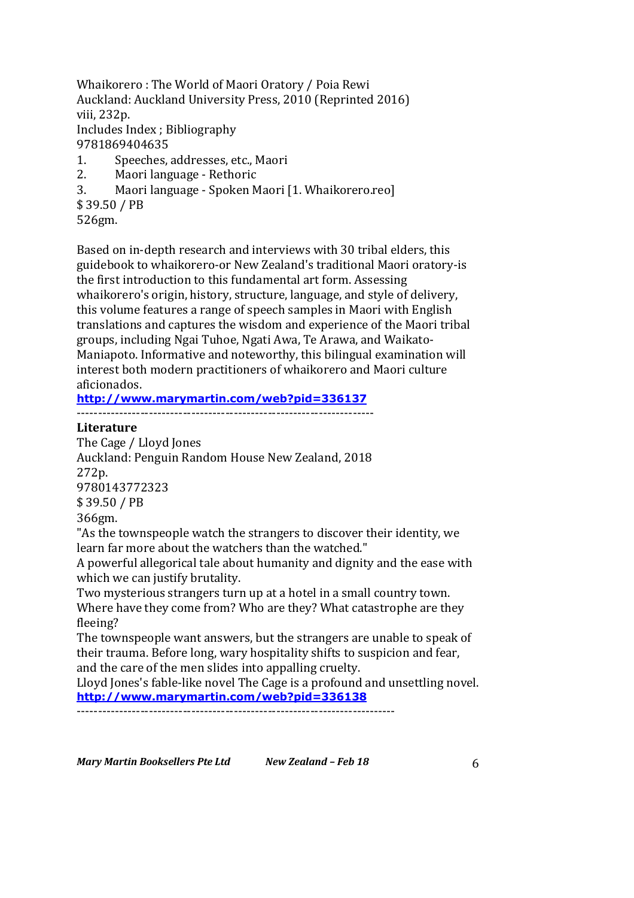Whaikorero: The World of Maori Oratory / Poia Rewi Auckland: Auckland University Press, 2010 (Reprinted 2016) viii, 232p. Includes Index ; Bibliography 9781869404635 1. Speeches, addresses, etc., Maori

- 2. Maori language Rethoric
- 3. Maori language Spoken Maori [1. Whaikorero.reo]

\$ 39.50 / PB

526gm.

Based on in-depth research and interviews with 30 tribal elders, this guidebook to whaikorero-or New Zealand's traditional Maori oratory-is the first introduction to this fundamental art form. Assessing whaikorero's origin, history, structure, language, and style of delivery, this volume features a range of speech samples in Maori with English translations and captures the wisdom and experience of the Maori tribal groups, including Ngai Tuhoe, Ngati Awa, Te Arawa, and Waikato-Maniapoto. Informative and noteworthy, this bilingual examination will interest both modern practitioners of whaikorero and Maori culture aficionados.

# **http://www.marymartin.com/web?pid=336137**

 $-$ 

### **Literature**

The Cage / Lloyd Jones Auckland: Penguin Random House New Zealand, 2018 272p. 9780143772323 \$ 39.50 / PB 366gm. "As the townspeople watch the strangers to discover their identity, we learn far more about the watchers than the watched." A powerful allegorical tale about humanity and dignity and the ease with which we can justify brutality.

Two mysterious strangers turn up at a hotel in a small country town. Where have they come from? Who are they? What catastrophe are they fleeing?

The townspeople want answers, but the strangers are unable to speak of their trauma. Before long, wary hospitality shifts to suspicion and fear, and the care of the men slides into appalling cruelty.

Lloyd Jones's fable-like novel The Cage is a profound and unsettling novel. **http://www.marymartin.com/web?pid=336138**

 $-$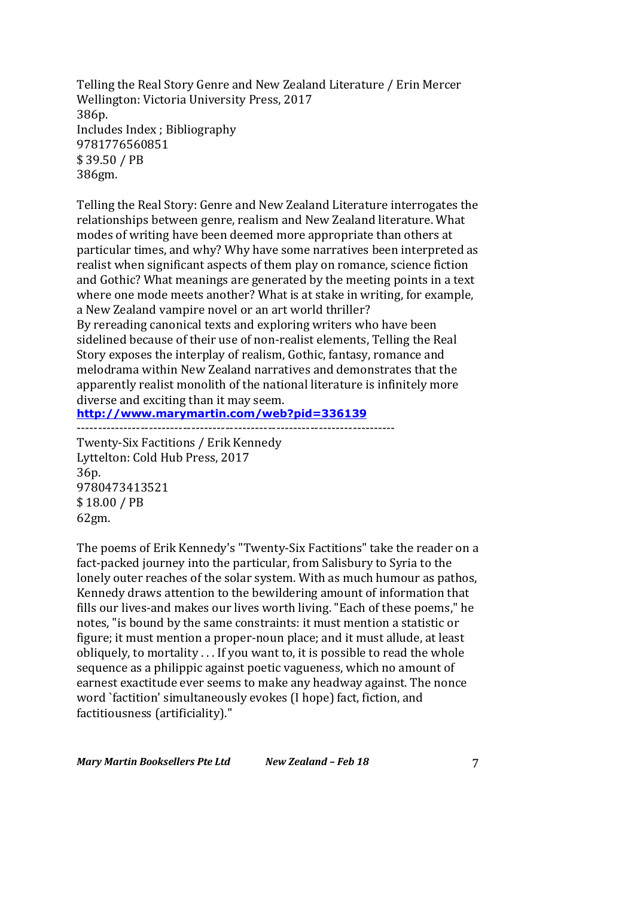Telling the Real Story Genre and New Zealand Literature / Erin Mercer Wellington: Victoria University Press, 2017 386p. Includes Index ; Bibliography 9781776560851 \$ 39.50 / PB 386gm.

Telling the Real Story: Genre and New Zealand Literature interrogates the relationships between genre, realism and New Zealand literature. What modes of writing have been deemed more appropriate than others at particular times, and why? Why have some narratives been interpreted as realist when significant aspects of them play on romance, science fiction and Gothic? What meanings are generated by the meeting points in a text where one mode meets another? What is at stake in writing, for example, a New Zealand vampire novel or an art world thriller? By rereading canonical texts and exploring writers who have been

sidelined because of their use of non-realist elements, Telling the Real Story exposes the interplay of realism, Gothic, fantasy, romance and melodrama within New Zealand narratives and demonstrates that the apparently realist monolith of the national literature is infinitely more diverse and exciting than it may seem.

**http://www.marymartin.com/web?pid=336139** ---------------------------------------------------------------------------

Twenty-Six Factitions / Erik Kennedy Lyttelton: Cold Hub Press, 2017 36p. 9780473413521 \$ 18.00 / PB 62gm.

The poems of Erik Kennedy's "Twenty-Six Factitions" take the reader on a fact-packed journey into the particular, from Salisbury to Syria to the lonely outer reaches of the solar system. With as much humour as pathos, Kennedy draws attention to the bewildering amount of information that fills our lives-and makes our lives worth living. "Each of these poems," he notes, "is bound by the same constraints: it must mention a statistic or figure; it must mention a proper-noun place; and it must allude, at least obliquely, to mortality . . . If you want to, it is possible to read the whole sequence as a philippic against poetic vagueness, which no amount of earnest exactitude ever seems to make any headway against. The nonce word `factition' simultaneously evokes (I hope) fact, fiction, and factitiousness (artificiality)."

*Mary Martin Booksellers Pte Ltd New Zealand – Feb 18* 7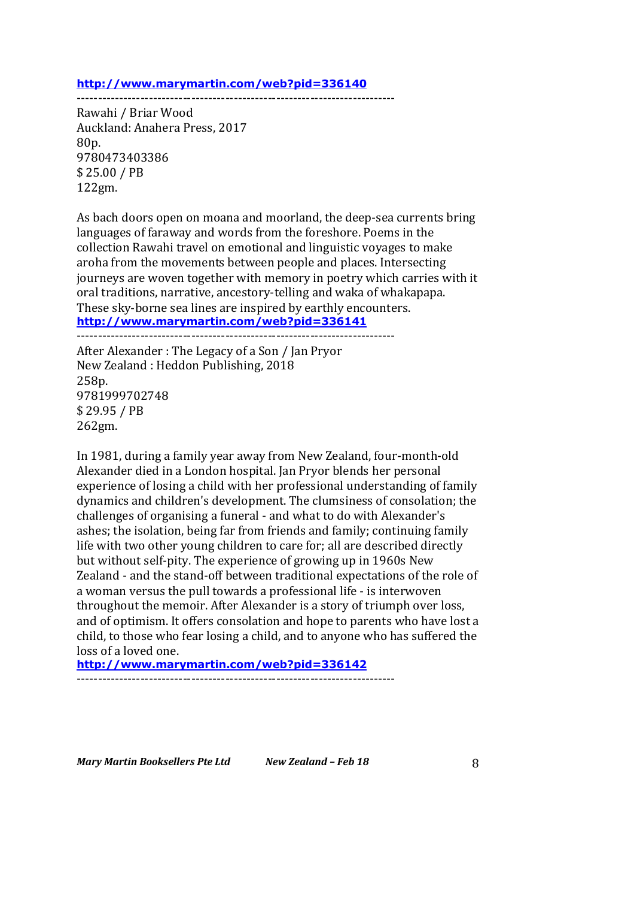#### **http://www.marymartin.com/web?pid=336140**

---------------------------------------------------------------------------

Rawahi / Briar Wood Auckland: Anahera Press, 2017 80p. 9780473403386 \$ 25.00 / PB 122gm.

As bach doors open on moana and moorland, the deep-sea currents bring languages of faraway and words from the foreshore. Poems in the collection Rawahi travel on emotional and linguistic voyages to make aroha from the movements between people and places. Intersecting journeys are woven together with memory in poetry which carries with it oral traditions, narrative, ancestory-telling and waka of whakapapa. These sky-borne sea lines are inspired by earthly encounters. **http://www.marymartin.com/web?pid=336141** ---------------------------------------------------------------------------

After Alexander : The Legacy of a Son / Jan Pryor New Zealand : Heddon Publishing, 2018 258p. 9781999702748 \$ 29.95 / PB 262gm.

In 1981, during a family year away from New Zealand, four-month-old Alexander died in a London hospital. Jan Pryor blends her personal experience of losing a child with her professional understanding of family dynamics and children's development. The clumsiness of consolation; the challenges of organising a funeral - and what to do with Alexander's ashes; the isolation, being far from friends and family; continuing family life with two other young children to care for; all are described directly but without self-pity. The experience of growing up in 1960s New Zealand - and the stand-off between traditional expectations of the role of a woman versus the pull towards a professional life - is interwoven throughout the memoir. After Alexander is a story of triumph over loss, and of optimism. It offers consolation and hope to parents who have lost a child, to those who fear losing a child, and to anyone who has suffered the loss of a loved one.

**http://www.marymartin.com/web?pid=336142**

---------------------------------------------------------------------------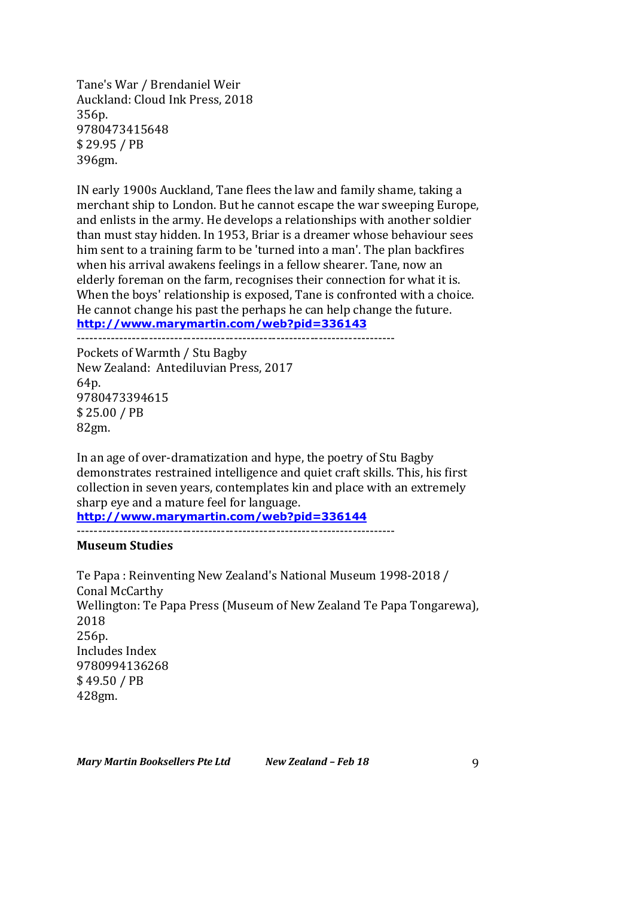Tane's War / Brendaniel Weir Auckland: Cloud Ink Press, 2018 356p. 9780473415648 \$ 29.95 / PB 396gm.

IN early 1900s Auckland, Tane flees the law and family shame, taking a merchant ship to London. But he cannot escape the war sweeping Europe, and enlists in the army. He develops a relationships with another soldier than must stay hidden. In 1953, Briar is a dreamer whose behaviour sees him sent to a training farm to be 'turned into a man'. The plan backfires when his arrival awakens feelings in a fellow shearer. Tane, now an elderly foreman on the farm, recognises their connection for what it is. When the boys' relationship is exposed, Tane is confronted with a choice. He cannot change his past the perhaps he can help change the future. **http://www.marymartin.com/web?pid=336143**

--------------------------------------------------------------------------- Pockets of Warmth / Stu Bagby New Zealand: Antediluvian Press, 2017 64p. 9780473394615 \$ 25.00 / PB 82gm.

In an age of over-dramatization and hype, the poetry of Stu Bagby demonstrates restrained intelligence and quiet craft skills. This, his first collection in seven years, contemplates kin and place with an extremely sharp eye and a mature feel for language.

**http://www.marymartin.com/web?pid=336144**

---------------------------------------------------------------------------

### **Museum Studies**

Te Papa: Reinventing New Zealand's National Museum 1998-2018 / Conal McCarthy Wellington: Te Papa Press (Museum of New Zealand Te Papa Tongarewa), 2018 256p. Includes Index 9780994136268 \$ 49.50 / PB 428gm.

*Mary Martin Booksellers Pte Ltd New Zealand – Feb 18* 9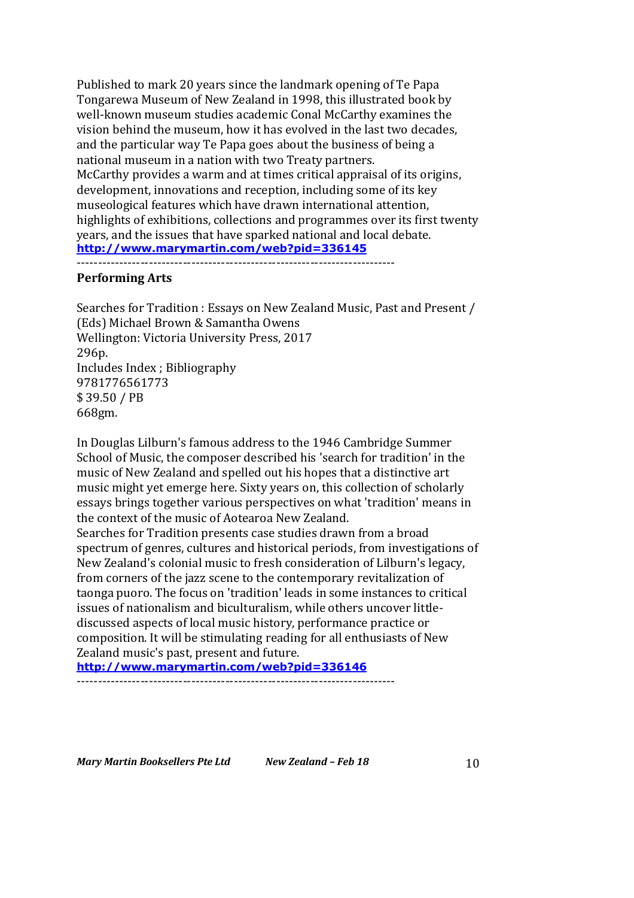Published to mark 20 years since the landmark opening of Te Papa Tongarewa Museum of New Zealand in 1998, this illustrated book by well-known museum studies academic Conal McCarthy examines the vision behind the museum, how it has evolved in the last two decades, and the particular way Te Papa goes about the business of being a national museum in a nation with two Treaty partners. McCarthy provides a warm and at times critical appraisal of its origins, development, innovations and reception, including some of its key museological features which have drawn international attention, highlights of exhibitions, collections and programmes over its first twenty years, and the issues that have sparked national and local debate. **http://www.marymartin.com/web?pid=336145**

#### ---------------------------------------------------------------------------

### **Performing Arts**

Searches for Tradition : Essays on New Zealand Music, Past and Present / (Eds) Michael Brown & Samantha Owens Wellington: Victoria University Press, 2017 296p. Includes Index ; Bibliography 9781776561773 \$ 39.50 / PB 668gm.

In Douglas Lilburn's famous address to the 1946 Cambridge Summer School of Music, the composer described his 'search for tradition' in the music of New Zealand and spelled out his hopes that a distinctive art music might yet emerge here. Sixty years on, this collection of scholarly essays brings together various perspectives on what 'tradition' means in the context of the music of Aotearoa New Zealand.

Searches for Tradition presents case studies drawn from a broad spectrum of genres, cultures and historical periods, from investigations of New Zealand's colonial music to fresh consideration of Lilburn's legacy, from corners of the jazz scene to the contemporary revitalization of taonga puoro. The focus on 'tradition' leads in some instances to critical issues of nationalism and biculturalism, while others uncover littlediscussed aspects of local music history, performance practice or composition. It will be stimulating reading for all enthusiasts of New Zealand music's past, present and future.

**http://www.marymartin.com/web?pid=336146** ---------------------------------------------------------------------------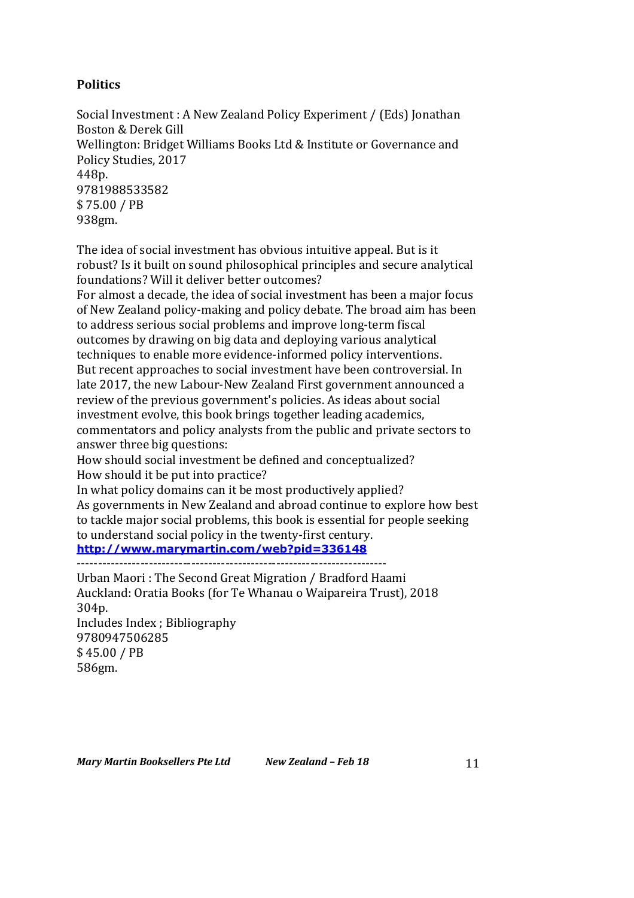# **Politics**

Social Investment : A New Zealand Policy Experiment / (Eds) Jonathan Boston & Derek Gill Wellington: Bridget Williams Books Ltd & Institute or Governance and Policy Studies, 2017 448p. 9781988533582 \$ 75.00 / PB 938gm.

The idea of social investment has obvious intuitive appeal. But is it robust? Is it built on sound philosophical principles and secure analytical foundations? Will it deliver better outcomes?

For almost a decade, the idea of social investment has been a major focus of New Zealand policy-making and policy debate. The broad aim has been to address serious social problems and improve long-term fiscal outcomes by drawing on big data and deploying various analytical techniques to enable more evidence-informed policy interventions. But recent approaches to social investment have been controversial. In late 2017, the new Labour-New Zealand First government announced a review of the previous government's policies. As ideas about social investment evolve, this book brings together leading academics, commentators and policy analysts from the public and private sectors to answer three big questions:

How should social investment be defined and conceptualized? How should it be put into practice?

In what policy domains can it be most productively applied? As governments in New Zealand and abroad continue to explore how best to tackle major social problems, this book is essential for people seeking to understand social policy in the twenty-first century.

**http://www.marymartin.com/web?pid=336148**

-------------------------------------------------------------------------

Urban Maori: The Second Great Migration / Bradford Haami Auckland: Oratia Books (for Te Whanau o Waipareira Trust), 2018 304p.

Includes Index ; Bibliography 9780947506285 \$ 45.00 / PB 586gm.